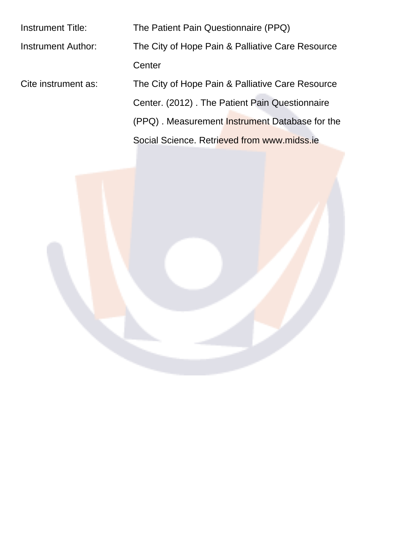| Instrument Title:   | The Patient Pain Questionnaire (PPQ)                  |  |  |  |  |  |  |
|---------------------|-------------------------------------------------------|--|--|--|--|--|--|
| Instrument Author:  | The City of Hope Pain & Palliative Care Resource      |  |  |  |  |  |  |
|                     | Center                                                |  |  |  |  |  |  |
| Cite instrument as: | The City of Hope Pain & Palliative Care Resource      |  |  |  |  |  |  |
|                     | Center. (2012). The Patient Pain Questionnaire        |  |  |  |  |  |  |
|                     | (PPQ). Measurement <b>Instrument Database for the</b> |  |  |  |  |  |  |
|                     | Social Science. Retrieved from www.midss.ie           |  |  |  |  |  |  |

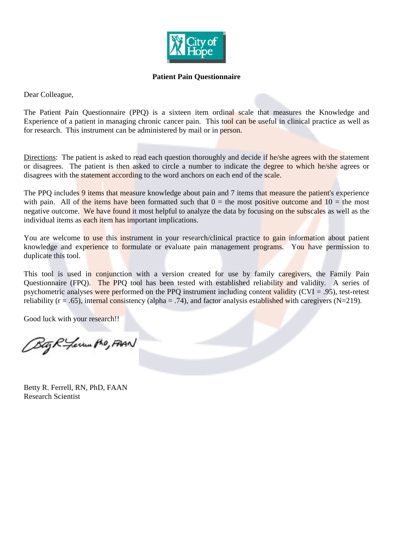![](_page_1_Picture_0.jpeg)

#### **Patient Pain Questionnaire**

Dear Colleague,

The Patient Pain Questionnaire (PPQ) is a sixteen item ordinal scale that measures the Knowledge and Experience of a patient in managing chronic cancer pain. This tool can be useful in clinical practice as well as for research. This instrument can be administered by mail or in person.

Directions: The patient is asked to read each question thoroughly and decide if he/she agrees with the statement or disagrees. The patient is then asked to circle a number to indicate the degree to which he/she agrees or disagrees with the statement according to the word anchors on each end of the scale.

The PPQ includes 9 items that measure knowledge about pain and 7 items that measure the patient's experience with pain. All of the items have been formatted such that  $0 =$  the most positive outcome and  $10 =$  the most negative outcome. We have found it most helpful to analyze the data by focusing on the subscales as well as the individual items as each item has important implications.

You are welcome to use this instrument in your research/clinical practice to gain information about patient knowledge and experience to formulate or evaluate pain management programs. You have permission to duplicate this tool.

This tool is used in conjunction with a version created for use by family caregivers, the Family Pain Questionnaire (FPQ). The PPQ tool has been tested with established reliability and validity. A series of psychometric analyses were performed on the PPQ instrument including content validity (CVI = .95), test-retest reliability ( $r = .65$ ), internal consistency (alpha = .74), and factor analysis established with caregivers ( $N=219$ ).

Good luck with your research!!

Bag R - Levin Pho, FAAN

Betty R. Ferrell, RN, PhD, FAAN Research Scientist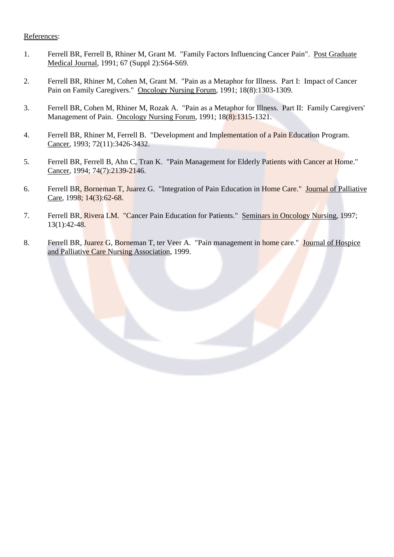#### References:

- 1. Ferrell BR, Ferrell B, Rhiner M, Grant M. "Family Factors Influencing Cancer Pain". Post Graduate Medical Journal, 1991; 67 (Suppl 2):S64-S69.
- 2. Ferrell BR, Rhiner M, Cohen M, Grant M. "Pain as a Metaphor for Illness. Part I: Impact of Cancer Pain on Family Caregivers." Oncology Nursing Forum, 1991; 18(8):1303-1309.
- 3. Ferrell BR, Cohen M, Rhiner M, Rozak A. "Pain as a Metaphor for Illness. Part II: Family Caregivers' Management of Pain. Oncology Nursing Forum, 1991; 18(8):1315-1321.
- 4. Ferrell BR, Rhiner M, Ferrell B. "Development and Implementation of a Pain Education Program. Cancer, 1993; 72(11):3426-3432.
- 5. Ferrell BR, Ferrell B, Ahn C, Tran K. "Pain Management for Elderly Patients with Cancer at Home." Cancer, 1994; 74(7):2139-2146.
- 6. Ferrell BR, Borneman T, Juarez G. "Integration of Pain Education in Home Care." Journal of Palliative Care, 1998; 14(3):62-68.
- 7. Ferrell BR, Rivera LM. "Cancer Pain Education for Patients." Seminars in Oncology Nursing, 1997; 13(1):42-48.
- 8. Ferrell BR, Juarez G, Borneman T, ter Veer A. "Pain management in home care." Journal of Hospice and Palliative Care Nursing Association, 1999.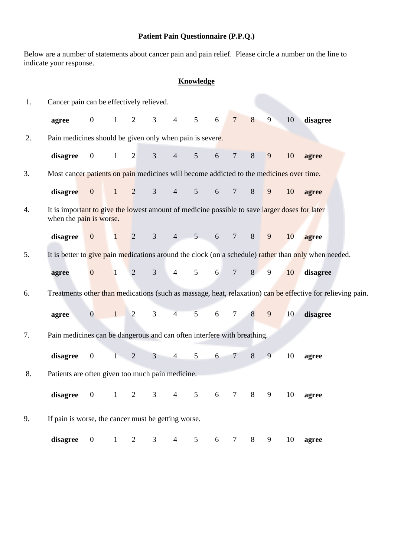# **Patient Pain Questionnaire (P.P.Q.)**

Below are a number of statements about cancer pain and pain relief. Please circle a number on the line to indicate your response.

# **Knowledge**

| 1. | Cancer pain can be effectively relieved.                                                                                 |                  |              |                |                |                |                |                  |                |   |                |    |                                                                                                            |
|----|--------------------------------------------------------------------------------------------------------------------------|------------------|--------------|----------------|----------------|----------------|----------------|------------------|----------------|---|----------------|----|------------------------------------------------------------------------------------------------------------|
|    | agree                                                                                                                    | $\boldsymbol{0}$ | $\mathbf{1}$ | 2              | $\mathfrak{Z}$ | $\overline{4}$ | 5 <sup>5</sup> | 6                | $\overline{7}$ | 8 | 9              | 10 | disagree                                                                                                   |
| 2. | Pain medicines should be given only when pain is severe.                                                                 |                  |              |                |                |                |                |                  |                |   |                |    |                                                                                                            |
|    | disagree                                                                                                                 | $\boldsymbol{0}$ | $\mathbf{1}$ | $\overline{2}$ | $\mathfrak{Z}$ | $\overline{4}$ | 5 <sup>5</sup> | 6                | $\tau$         | 8 | 9              | 10 | agree                                                                                                      |
| 3. | Most cancer patients on pain medicines will become addicted to the medicines over time.                                  |                  |              |                |                |                |                |                  |                |   |                |    |                                                                                                            |
|    | disagree                                                                                                                 | $\overline{0}$   | $\mathbf{1}$ | 2              | $\mathfrak{Z}$ | $4 \quad$      | $5^{\circ}$    | 6                | $\tau$         | 8 | 9              | 10 | agree                                                                                                      |
| 4. | It is important to give the lowest amount of medicine possible to save larger doses for later<br>when the pain is worse. |                  |              |                |                |                |                |                  |                |   |                |    |                                                                                                            |
|    | disagree                                                                                                                 | $\mathbf{0}$     | $\mathbf{1}$ | 2              | $\mathfrak{Z}$ | $4 -$          | 5 <sub>1</sub> | 6                | $\overline{7}$ | 8 | $\overline{9}$ | 10 | agree                                                                                                      |
| 5. |                                                                                                                          |                  |              |                |                |                |                |                  |                |   |                |    | It is better to give pain medications around the clock (on a schedule) rather than only when needed.       |
|    | agree                                                                                                                    | $\mathbf{0}$     | $\mathbf{1}$ | $\overline{2}$ | $\mathfrak{Z}$ | $\overline{4}$ | 5 <sup>5</sup> | 6                | $\overline{7}$ | 8 | 9              | 10 | disagree                                                                                                   |
| 6. |                                                                                                                          |                  |              |                |                |                |                |                  |                |   |                |    | Treatments other than medications (such as massage, heat, relaxation) can be effective for relieving pain. |
|    | agree                                                                                                                    | $\overline{0}$   | 1            | 2              | 3              | $\overline{4}$ | 5              | 6                | $\tau$         | 8 | 9              | 10 | disagree                                                                                                   |
| 7. | Pain medicines can be dangerous and can often interfere with breathing.                                                  |                  |              |                |                |                |                |                  |                |   |                |    |                                                                                                            |
|    | disagree                                                                                                                 | $\boldsymbol{0}$ | $1 -$        | $\overline{2}$ | $\mathfrak{Z}$ | $\overline{4}$ | 5              | 6                | $\overline{7}$ | 8 | 9              | 10 | agree                                                                                                      |
| 8. | Patients are often given too much pain medicine.                                                                         |                  |              |                |                |                |                |                  |                |   |                |    |                                                                                                            |
|    | disagree 0                                                                                                               |                  | $\mathbf{1}$ | $\overline{2}$ | $\overline{3}$ | $\overline{4}$ | $\overline{5}$ | $\overline{6}$   | $\tau$         | 8 | 9              | 10 | agree                                                                                                      |
| 9. | If pain is worse, the cancer must be getting worse.                                                                      |                  |              |                |                |                |                |                  |                |   |                |    |                                                                                                            |
|    | disagree                                                                                                                 | $\mathbf{0}$     | $\mathbf{1}$ | $\overline{c}$ | 3              | $\overline{4}$ | 5              | $\boldsymbol{6}$ | $\tau$         | 8 | 9              | 10 | agree                                                                                                      |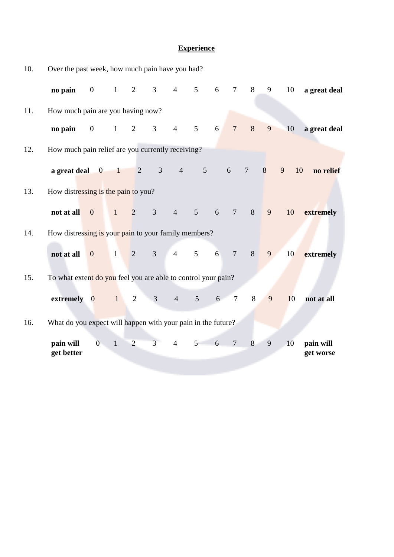## **Experience**

| 10. | Over the past week, how much pain have you had?               |                         |                          |                |                |                 |                                   |   |                 |                |   |         |                        |
|-----|---------------------------------------------------------------|-------------------------|--------------------------|----------------|----------------|-----------------|-----------------------------------|---|-----------------|----------------|---|---------|------------------------|
|     | no pain                                                       | $\overline{0}$          | $\mathbf{1}$             | 2              | $\mathfrak{Z}$ | $\overline{4}$  | $\mathfrak{S}$                    | 6 | $\tau$          | 8              | 9 | 10      | a great deal           |
| 11. | How much pain are you having now?                             |                         |                          |                |                |                 |                                   |   |                 |                |   |         |                        |
|     | no pain                                                       | $\overline{0}$          | $\mathbf{1}$             | $\overline{2}$ | $\mathfrak{Z}$ | $\overline{4}$  | 5                                 | 6 | $7\overline{ }$ | 8              | 9 | 10      | a great deal           |
| 12. | How much pain relief are you currently receiving?             |                         |                          |                |                |                 |                                   |   |                 |                |   |         |                        |
|     | a great deal                                                  | $\overline{\mathbf{0}}$ | $\overline{\phantom{0}}$ | $\overline{2}$ | 3 <sup>1</sup> |                 | $4\overline{ }$<br>$\mathfrak{S}$ |   | 6               | $\overline{7}$ | 8 | 9<br>10 | no relief              |
| 13. | How distressing is the pain to you?                           |                         |                          |                |                |                 |                                   |   |                 |                |   |         |                        |
|     | not at all                                                    | $\overline{0}$          | $\mathbf{1}$             | $\overline{2}$ | $\mathfrak{Z}$ | $4\overline{ }$ | $5\overline{)}$                   | 6 | $7\phantom{.0}$ | $8\,$          | 9 | 10      | extremely              |
| 14. | How distressing is your pain to your family members?          |                         |                          |                |                |                 |                                   |   |                 |                |   |         |                        |
|     | not at all                                                    | $\mathbf{0}$            | $\mathbf{1}$             | $\overline{2}$ | 3 <sup>1</sup> | $4 \quad 5$     |                                   | 6 | $\overline{7}$  | $8\,$          | 9 | 10      | extremely              |
| 15. | To what extent do you feel you are able to control your pain? |                         |                          |                |                |                 |                                   |   |                 |                |   |         |                        |
|     | extremely                                                     | $\overline{0}$          | 1                        | $\mathfrak{2}$ | 3              | $\overline{4}$  | 5 <sup>5</sup>                    | 6 | $\overline{7}$  | $8\,$          | 9 | 10      | not at all             |
| 16. | What do you expect will happen with your pain in the future?  |                         |                          |                |                |                 |                                   |   |                 |                |   |         |                        |
|     |                                                               |                         |                          |                |                |                 |                                   |   |                 |                |   |         |                        |
|     | pain will<br>get better                                       | $\overline{0}$          | $\mathbf{1}$             | $\overline{2}$ | 3 <sup>1</sup> | $\overline{4}$  | 5 <sup>5</sup>                    | 6 | $\overline{7}$  | 8              | 9 | 10      | pain will<br>get worse |
|     |                                                               |                         |                          |                |                |                 |                                   |   |                 |                |   |         |                        |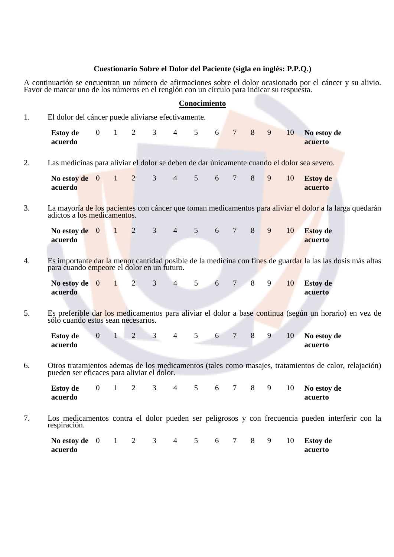### **Cuestionario Sobre el Dolor del Paciente (sigla en inglés: P.P.Q.)**

A continuación se encuentran un número de afirmaciones sobre el dolor ocasionado por el cáncer y su alivio. Favor de marcar uno de los números en el renglón con un círculo para indicar su respuesta.

|    |                                                                                            |                |              |                |                |                |                | Conocimiento |                 |   |   |    |                                                                                                            |
|----|--------------------------------------------------------------------------------------------|----------------|--------------|----------------|----------------|----------------|----------------|--------------|-----------------|---|---|----|------------------------------------------------------------------------------------------------------------|
| 1. | El dolor del cáncer puede aliviarse efectivamente.                                         |                |              |                |                |                |                |              |                 |   |   |    |                                                                                                            |
|    | <b>Estoy</b> de<br>acuerdo                                                                 | $\overline{0}$ | $\mathbf{1}$ | 2              | 3              | $\overline{4}$ | 5              | 6            | $\overline{7}$  | 8 | 9 | 10 | No estoy de<br>acuerto                                                                                     |
| 2. | Las medicinas para aliviar el dolor se deben de dar únicamente cuando el dolor sea severo. |                |              |                |                |                |                |              |                 |   |   |    |                                                                                                            |
|    | No estoy de $0$<br>acuerdo                                                                 |                | $\mathbf{1}$ | $\overline{2}$ | 3              | $\overline{4}$ | 5              | 6            | $\overline{7}$  | 8 | 9 | 10 | <b>Estoy</b> de<br>acuerto                                                                                 |
| 3. | adictos a los medicamentos.                                                                |                |              |                |                |                |                |              |                 |   |   |    | La mayoría de los pacientes con cáncer que toman medicamentos para aliviar el dolor a la larga quedarán    |
|    | No estoy de $0$<br>acuerdo                                                                 |                | $\mathbf{1}$ | 2              | $\mathfrak{Z}$ | $\overline{4}$ | 5 <sup>5</sup> | 6            | $\tau$          | 8 | 9 | 10 | <b>Estoy</b> de<br>acuerto                                                                                 |
| 4. | para cuando empeore el dolor en un futuro.                                                 |                |              |                |                |                |                |              |                 |   |   |    | Es importante dar la menor cantidad posible de la medicina con fines de guardar la las las dosis más altas |
|    | No estov de<br>acuerdo                                                                     | $\overline{0}$ | 1            | $\overline{2}$ | 3              | $\overline{4}$ | 5              | 6            | $7\overline{ }$ | 8 | 9 | 10 | <b>Estoy</b> de<br>acuerto                                                                                 |
| 5. | sólo cuando estos sean necesarios.                                                         |                |              |                |                |                |                |              |                 |   |   |    | Es preferible dar los medicamentos para aliviar el dolor a base continua (según un horario) en vez de      |
|    | <b>Estoy</b> de<br>acuerdo                                                                 | $\mathbf{0}$   | $\mathbf{1}$ | $\overline{2}$ | 3              | $\overline{4}$ | 5              | 6            | $\overline{7}$  | 8 | 9 | 10 | No estoy de<br>acuerto                                                                                     |
| 6. | pueden ser eficaces para aliviar el dolor.                                                 |                |              |                |                |                |                |              |                 |   |   |    | Otros tratamientos ademas de los medicamentos (tales como masajes, tratamientos de calor, relajación)      |
|    | <b>Estoy de</b><br>acuerdo                                                                 | $\overline{0}$ | $\mathbf{1}$ | 2              | 3              | 4              | 5              | 6            | $\tau$          | 8 | 9 | 10 | No estoy de<br>acuerto                                                                                     |
| 7. | respiración.                                                                               |                |              |                |                |                |                |              |                 |   |   |    | Los medicamentos contra el dolor pueden ser peligrosos y con frecuencia pueden interferir con la           |
|    | No estoy de $0 \t 1 \t 2 \t 3$<br>acuerdo                                                  |                |              |                |                | $\overline{4}$ |                | $5\qquad 6$  | $7\phantom{.0}$ | 8 | 9 | 10 | <b>Estoy</b> de<br>acuerto                                                                                 |